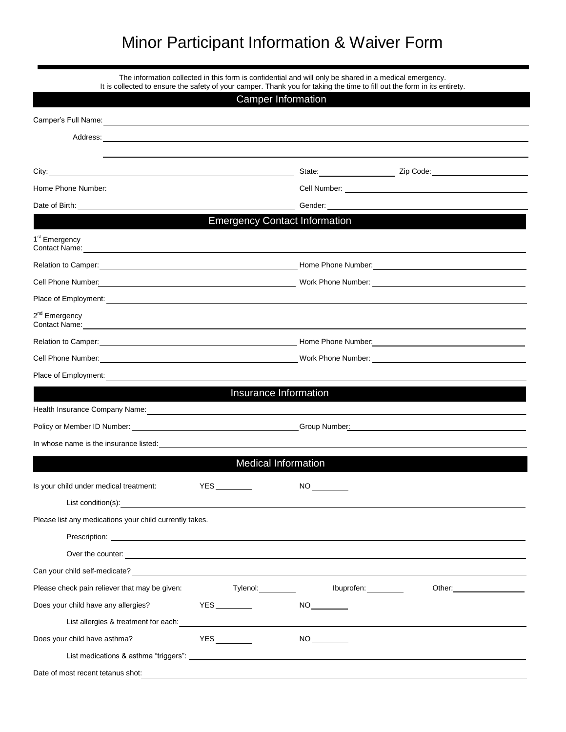## Minor Participant Information & Waiver Form

|                                                                                                                                                                                                                                                                  |          | The information collected in this form is confidential and will only be shared in a medical emergency.<br>It is collected to ensure the safety of your camper. Thank you for taking the time to fill out the form in its entirety. |                                              |  |  |
|------------------------------------------------------------------------------------------------------------------------------------------------------------------------------------------------------------------------------------------------------------------|----------|------------------------------------------------------------------------------------------------------------------------------------------------------------------------------------------------------------------------------------|----------------------------------------------|--|--|
|                                                                                                                                                                                                                                                                  |          | <b>Camper Information</b>                                                                                                                                                                                                          |                                              |  |  |
|                                                                                                                                                                                                                                                                  |          |                                                                                                                                                                                                                                    |                                              |  |  |
|                                                                                                                                                                                                                                                                  |          |                                                                                                                                                                                                                                    |                                              |  |  |
|                                                                                                                                                                                                                                                                  |          |                                                                                                                                                                                                                                    |                                              |  |  |
|                                                                                                                                                                                                                                                                  |          |                                                                                                                                                                                                                                    |                                              |  |  |
|                                                                                                                                                                                                                                                                  |          |                                                                                                                                                                                                                                    |                                              |  |  |
| Date of Birth: <u>Community Community Community Community Community Community Community Community Community Community Community Community Community Community Community Community Community Community Community Community Commun</u>                             |          |                                                                                                                                                                                                                                    |                                              |  |  |
|                                                                                                                                                                                                                                                                  |          | <b>Emergency Contact Information</b>                                                                                                                                                                                               |                                              |  |  |
| 1 <sup>st</sup> Emergency                                                                                                                                                                                                                                        |          |                                                                                                                                                                                                                                    |                                              |  |  |
|                                                                                                                                                                                                                                                                  |          |                                                                                                                                                                                                                                    |                                              |  |  |
| Cell Phone Number: <u>Call Communication and Communication and Communication</u> Work Phone Number: Call Phone Number                                                                                                                                            |          |                                                                                                                                                                                                                                    |                                              |  |  |
| Place of Employment: Note that the set of the set of the set of the set of the set of the set of the set of the set of the set of the set of the set of the set of the set of the set of the set of the set of the set of the                                    |          |                                                                                                                                                                                                                                    |                                              |  |  |
| 2 <sup>nd</sup> Emergency<br>Contact Name: <u>Contact Name:</u> Contact Name: Contact Name: Contact Name: Contact Name: Contact Name: Contact Name: Contact Name: Contact Name: Contact Name: Contact Name: Contact Name: Contact Name: Contact Name: Contact Na |          |                                                                                                                                                                                                                                    |                                              |  |  |
|                                                                                                                                                                                                                                                                  |          |                                                                                                                                                                                                                                    |                                              |  |  |
|                                                                                                                                                                                                                                                                  |          |                                                                                                                                                                                                                                    |                                              |  |  |
| Place of Employment:                                                                                                                                                                                                                                             |          |                                                                                                                                                                                                                                    |                                              |  |  |
|                                                                                                                                                                                                                                                                  |          | Insurance Information                                                                                                                                                                                                              |                                              |  |  |
| Health Insurance Company Name: <b>Manual Acceptance of the Company Name:</b> And Acceptance of the Company Name:                                                                                                                                                 |          |                                                                                                                                                                                                                                    |                                              |  |  |
|                                                                                                                                                                                                                                                                  |          |                                                                                                                                                                                                                                    |                                              |  |  |
| In whose name is the insurance listed: example and a series of the state of the state of the state of the state of the state of the state of the state of the state of the state of the state of the state of the state of the                                   |          |                                                                                                                                                                                                                                    |                                              |  |  |
|                                                                                                                                                                                                                                                                  |          | <b>Medical Information</b>                                                                                                                                                                                                         |                                              |  |  |
| Is your child under medical treatment: YES                                                                                                                                                                                                                       |          | <b>NO</b>                                                                                                                                                                                                                          |                                              |  |  |
| List condition(s): the condition of the condition of the condition of the condition of the condition of the condition of the condition of the condition of the condition of the condition of the condition of the condition of                                   |          |                                                                                                                                                                                                                                    |                                              |  |  |
| Please list any medications your child currently takes.                                                                                                                                                                                                          |          |                                                                                                                                                                                                                                    |                                              |  |  |
|                                                                                                                                                                                                                                                                  |          |                                                                                                                                                                                                                                    |                                              |  |  |
| Over the counter: <u>example and the counter</u> control of the counter of the counter of the counter of the counter of the counter of the counter of the counter of the counter of the counter of the counter of the counter of th                              |          |                                                                                                                                                                                                                                    |                                              |  |  |
|                                                                                                                                                                                                                                                                  |          |                                                                                                                                                                                                                                    |                                              |  |  |
| Please check pain reliever that may be given:                                                                                                                                                                                                                    | Tylenol: | Ibuprofen:                                                                                                                                                                                                                         | Other: <u>with the state of the state of</u> |  |  |
| Does your child have any allergies?                                                                                                                                                                                                                              |          | NO                                                                                                                                                                                                                                 |                                              |  |  |
| List allergies & treatment for each:<br><u> and the contract of the contract of the contract of the contract of the contract of the contract of the contract of</u>                                                                                              |          |                                                                                                                                                                                                                                    |                                              |  |  |
| Does your child have asthma?                                                                                                                                                                                                                                     |          |                                                                                                                                                                                                                                    |                                              |  |  |
| List medications & asthma "triggers": University of the contract of the contract of the contract of the contract of the contract of the contract of the contract of the contract of the contract of the contract of the contra                                   |          |                                                                                                                                                                                                                                    |                                              |  |  |
| Date of most recent tetanus shot:                                                                                                                                                                                                                                |          | and the control of the control of the control of the control of the control of the control of the control of the                                                                                                                   |                                              |  |  |